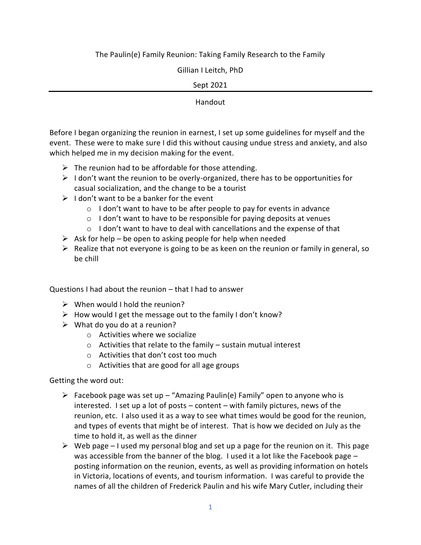# The Paulin(e) Family Reunion: Taking Family Research to the Family

Gillian I Leitch, PhD

## Sept 2021

#### Handout

Before I began organizing the reunion in earnest, I set up some guidelines for myself and the event. These were to make sure I did this without causing undue stress and anxiety, and also which helped me in my decision making for the event.

- $\triangleright$  The reunion had to be affordable for those attending.
- $\triangleright$  I don't want the reunion to be overly-organized, there has to be opportunities for casual socialization, and the change to be a tourist
- $\triangleright$  I don't want to be a banker for the event
	- o I don't want to have to be after people to pay for events in advance
	- $\circ$  I don't want to have to be responsible for paying deposits at venues
	- $\circ$  I don't want to have to deal with cancellations and the expense of that
- $\triangleright$  Ask for help be open to asking people for help when needed
- $\triangleright$  Realize that not everyone is going to be as keen on the reunion or family in general, so be chill

Questions I had about the reunion – that I had to answer

- $\triangleright$  When would I hold the reunion?
- $\triangleright$  How would I get the message out to the family I don't know?
- $\triangleright$  What do you do at a reunion?
	- o Activities where we socialize
	- $\circ$  Activities that relate to the family sustain mutual interest
	- o Activities that don't cost too much
	- o Activities that are good for all age groups

Getting the word out:

- $\triangleright$  Facebook page was set up "Amazing Paulin(e) Family" open to anyone who is interested. I set up a lot of posts – content – with family pictures, news of the reunion, etc. I also used it as a way to see what times would be good for the reunion, and types of events that might be of interest. That is how we decided on July as the time to hold it, as well as the dinner
- $\triangleright$  Web page I used my personal blog and set up a page for the reunion on it. This page was accessible from the banner of the blog. I used it a lot like the Facebook page – posting information on the reunion, events, as well as providing information on hotels in Victoria, locations of events, and tourism information. I was careful to provide the names of all the children of Frederick Paulin and his wife Mary Cutler, including their